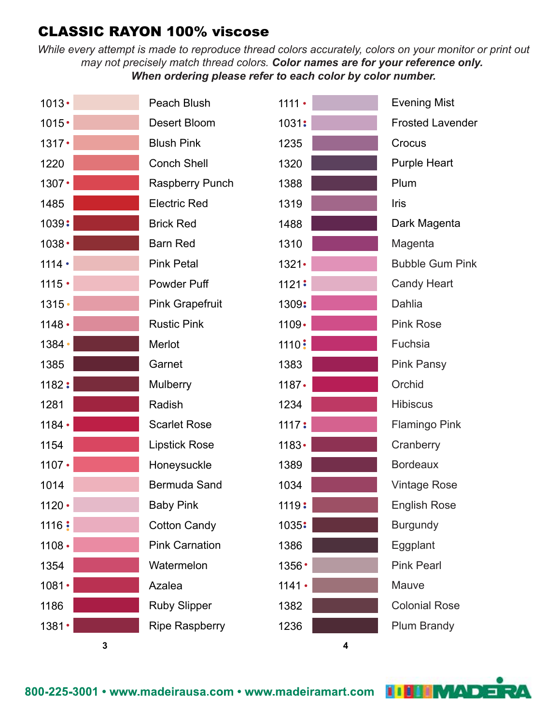



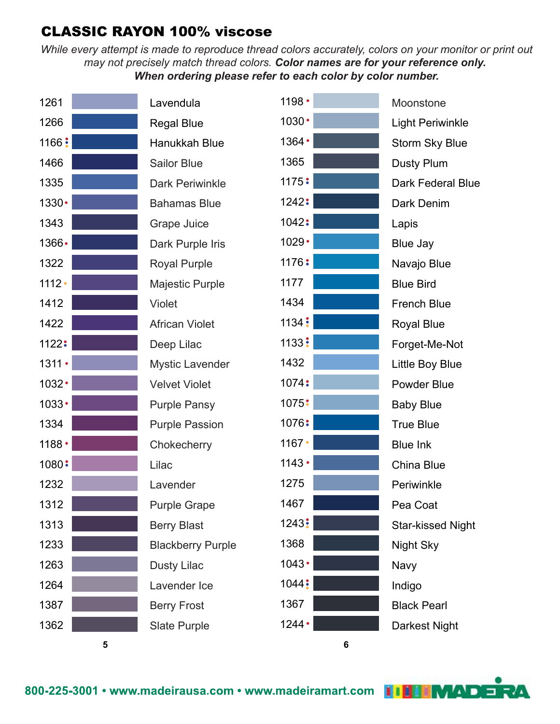*While every attempt is made to reproduce thread colors accurately, colors on your monitor or print out may not precisely match thread colors. Color names are for your reference only. When ordering please refer to each color by color number.*



Lavendula Regal Blue Hanukkah Blue Sailor Blue Dark Periwinkle Bahamas Blue Grape Juice Dark Purple Iris Royal Purple Majestic Purple Violet African Violet Deep Lilac Mystic Lavender Velvet Violet Purple Pansy Purple Passion **Chokecherry** Lilac Lavender Purple Grape Berry Blast Blackberry Purple Dusty Lilac Lavender Ice Berry Frost Slate Purple



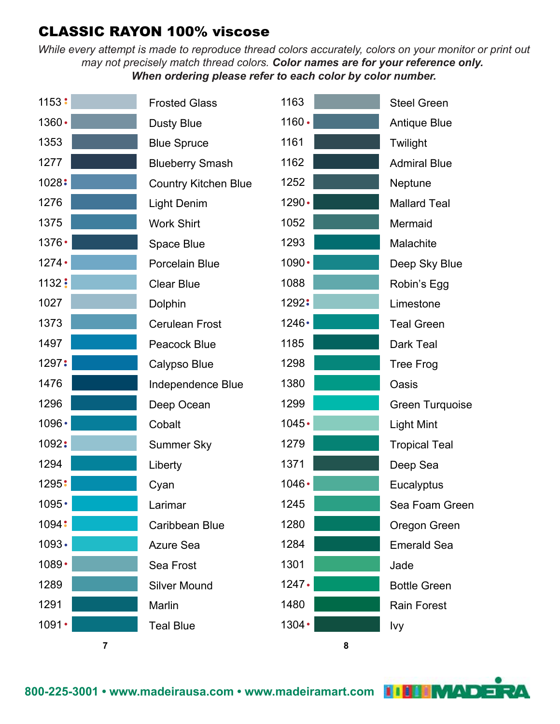| 1153:          | <b>Frosted Glass</b>        | 1163         | <b>Steel Green</b>     |
|----------------|-----------------------------|--------------|------------------------|
| 1360.          | <b>Dusty Blue</b>           | $1160 -$     | <b>Antique Blue</b>    |
| 1353           | <b>Blue Spruce</b>          | 1161         | Twilight               |
| 1277           | <b>Blueberry Smash</b>      | 1162         | <b>Admiral Blue</b>    |
| 1028:          | <b>Country Kitchen Blue</b> | 1252         | Neptune                |
| 1276           | Light Denim                 | 1290.        | <b>Mallard Teal</b>    |
| 1375           | <b>Work Shirt</b>           | 1052         | Mermaid                |
| 1376 •         | Space Blue                  | 1293         | Malachite              |
| $1274 -$       | Porcelain Blue              | 1090 •       | Deep Sky Blue          |
| 1132:          | <b>Clear Blue</b>           | 1088         | Robin's Egg            |
| 1027           | Dolphin                     | 1292:        | Limestone              |
| 1373           | <b>Cerulean Frost</b>       | 1246 •       | <b>Teal Green</b>      |
| 1497           | <b>Peacock Blue</b>         | 1185         | Dark Teal              |
| 1297:          | Calypso Blue                | 1298         | <b>Tree Frog</b>       |
| 1476           | Independence Blue           | 1380         | Oasis                  |
| 1296           | Deep Ocean                  | 1299         | <b>Green Turquoise</b> |
| 1096 •         | Cobalt                      | $1045 -$     | <b>Light Mint</b>      |
| 1092:          | <b>Summer Sky</b>           | 1279         | <b>Tropical Teal</b>   |
| 1294           | Liberty                     | 1371         | Deep Sea               |
| 1295:          | Cyan                        | 1046 •       | Eucalyptus             |
| 1095 •         | Larimar                     | 1245         | Sea Foam Green         |
| 1094:          | Caribbean Blue              | 1280         | Oregon Green           |
| $1093 -$       | <b>Azure Sea</b>            | 1284         | <b>Emerald Sea</b>     |
| 1089 •         | Sea Frost                   | 1301         | Jade                   |
| 1289           | <b>Silver Mound</b>         | $1247 \cdot$ | <b>Bottle Green</b>    |
| 1291           | Marlin                      | 1480         | <b>Rain Forest</b>     |
| 1091 •         | <b>Teal Blue</b>            | 1304 •       | Ivy                    |
| $\overline{7}$ |                             | 8            |                        |

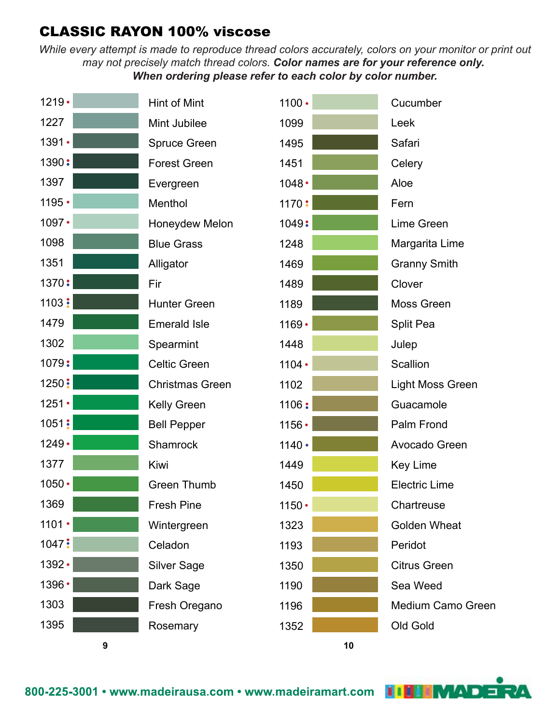



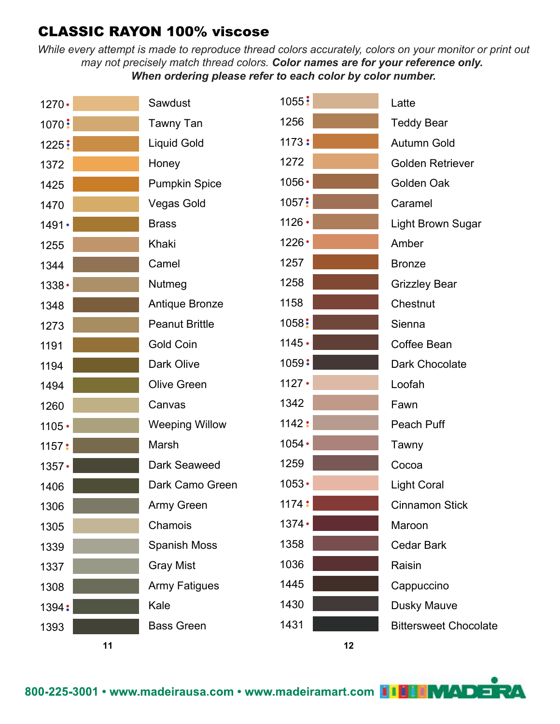*While every attempt is made to reproduce thread colors accurately, colors on your monitor or print out may not precisely match thread colors. Color names are for your reference only. When ordering please refer to each color by color number.*



MAD E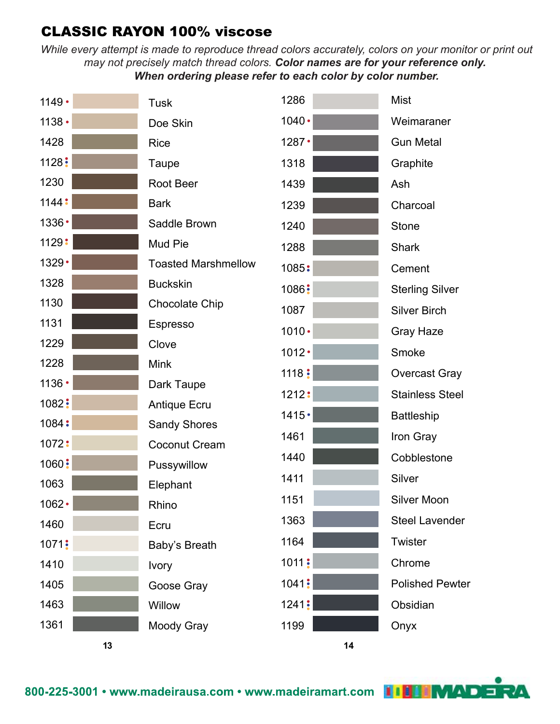| $1149 -$ | <b>Tusk</b>                | 1286     | <b>Mist</b>            |
|----------|----------------------------|----------|------------------------|
| $1138 -$ | Doe Skin                   | 1040 •   | Weimaraner             |
| 1428     | <b>Rice</b>                | 1287     | <b>Gun Metal</b>       |
| 1128:    | Taupe                      | 1318     | Graphite               |
| 1230     | Root Beer                  | 1439     | Ash                    |
| 1144:    | <b>Bark</b>                | 1239     | Charcoal               |
| 1336 •   | Saddle Brown               | 1240     | <b>Stone</b>           |
| 1129:    | Mud Pie                    | 1288     | <b>Shark</b>           |
| 1329 •   | <b>Toasted Marshmellow</b> | 1085:    | Cement                 |
| 1328     | <b>Buckskin</b>            | 1086:    | <b>Sterling Silver</b> |
| 1130     | <b>Chocolate Chip</b>      | 1087     | <b>Silver Birch</b>    |
| 1131     | Espresso                   | $1010 -$ | Gray Haze              |
| 1229     | Clove                      | $1012 -$ | Smoke                  |
| 1228     | <b>Mink</b>                | 1118:    | <b>Overcast Gray</b>   |
| 1136 •   | Dark Taupe                 | 1212:    | <b>Stainless Steel</b> |
| 1082:    | Antique Ecru               | $1415 -$ | <b>Battleship</b>      |
| 1084:    | <b>Sandy Shores</b>        | 1461     | Iron Gray              |
| 1072:    | <b>Coconut Cream</b>       | 1440     | Cobblestone            |
| 1060:    | Pussywillow                | 1411     | Silver                 |
| 1063     | Elephant                   | 1151     | Silver Moon            |
| 1062.    | Rhino                      | 1363     | <b>Steel Lavender</b>  |
| 1460     | Ecru                       | 1164     | Twister                |
| 1071:    | Baby's Breath              | 1011:    | Chrome                 |
| 1410     | <b>Ivory</b>               | 1041:    | <b>Polished Pewter</b> |
| 1405     | Goose Gray                 |          |                        |
| 1463     | Willow                     | 1241:    | Obsidian               |
| 1361     | Moody Gray                 | 1199     | Onyx                   |
| 13       |                            | 14       |                        |

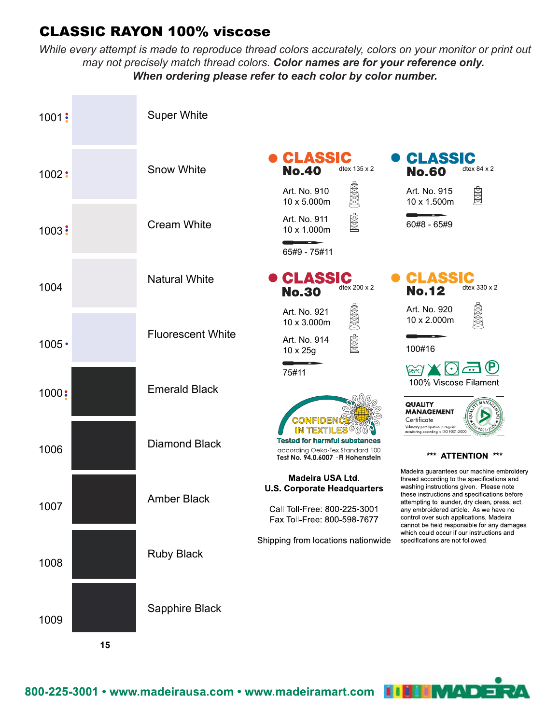